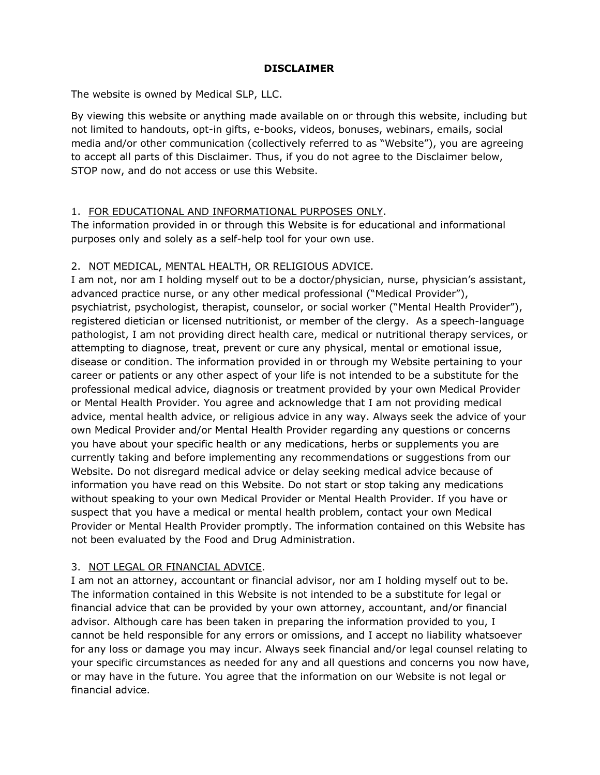### **DISCLAIMER**

The website is owned by Medical SLP, LLC.

By viewing this website or anything made available on or through this website, including but not limited to handouts, opt-in gifts, e-books, videos, bonuses, webinars, emails, social media and/or other communication (collectively referred to as "Website"), you are agreeing to accept all parts of this Disclaimer. Thus, if you do not agree to the Disclaimer below, STOP now, and do not access or use this Website.

### 1. FOR EDUCATIONAL AND INFORMATIONAL PURPOSES ONLY.

The information provided in or through this Website is for educational and informational purposes only and solely as a self-help tool for your own use.

## 2. NOT MEDICAL, MENTAL HEALTH, OR RELIGIOUS ADVICE.

I am not, nor am I holding myself out to be a doctor/physician, nurse, physician's assistant, advanced practice nurse, or any other medical professional ("Medical Provider"), psychiatrist, psychologist, therapist, counselor, or social worker ("Mental Health Provider"), registered dietician or licensed nutritionist, or member of the clergy. As a speech-language pathologist, I am not providing direct health care, medical or nutritional therapy services, or attempting to diagnose, treat, prevent or cure any physical, mental or emotional issue, disease or condition. The information provided in or through my Website pertaining to your career or patients or any other aspect of your life is not intended to be a substitute for the professional medical advice, diagnosis or treatment provided by your own Medical Provider or Mental Health Provider. You agree and acknowledge that I am not providing medical advice, mental health advice, or religious advice in any way. Always seek the advice of your own Medical Provider and/or Mental Health Provider regarding any questions or concerns you have about your specific health or any medications, herbs or supplements you are currently taking and before implementing any recommendations or suggestions from our Website. Do not disregard medical advice or delay seeking medical advice because of information you have read on this Website. Do not start or stop taking any medications without speaking to your own Medical Provider or Mental Health Provider. If you have or suspect that you have a medical or mental health problem, contact your own Medical Provider or Mental Health Provider promptly. The information contained on this Website has not been evaluated by the Food and Drug Administration.

# 3. NOT LEGAL OR FINANCIAL ADVICE.

I am not an attorney, accountant or financial advisor, nor am I holding myself out to be. The information contained in this Website is not intended to be a substitute for legal or financial advice that can be provided by your own attorney, accountant, and/or financial advisor. Although care has been taken in preparing the information provided to you, I cannot be held responsible for any errors or omissions, and I accept no liability whatsoever for any loss or damage you may incur. Always seek financial and/or legal counsel relating to your specific circumstances as needed for any and all questions and concerns you now have, or may have in the future. You agree that the information on our Website is not legal or financial advice.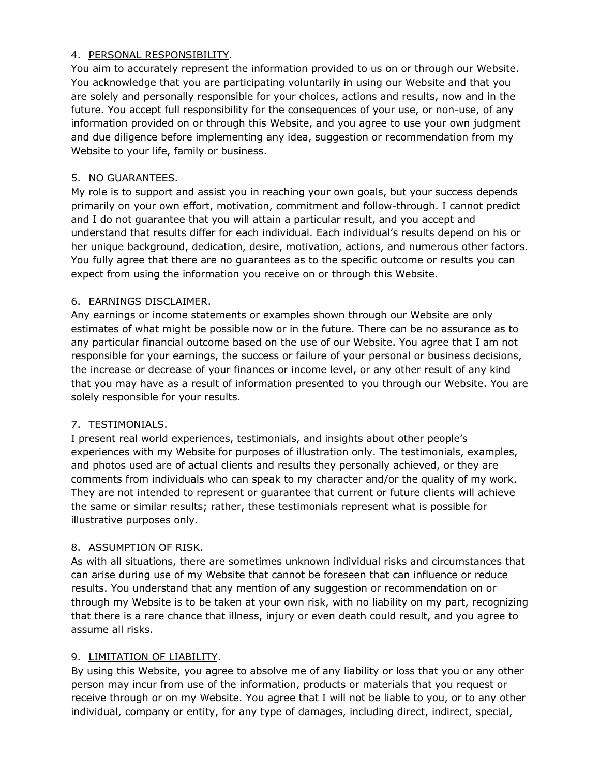#### 4. PERSONAL RESPONSIBILITY.

You aim to accurately represent the information provided to us on or through our Website. You acknowledge that you are participating voluntarily in using our Website and that you are solely and personally responsible for your choices, actions and results, now and in the future. You accept full responsibility for the consequences of your use, or non-use, of any information provided on or through this Website, and you agree to use your own judgment and due diligence before implementing any idea, suggestion or recommendation from my Website to your life, family or business.

### 5. NO GUARANTEES.

My role is to support and assist you in reaching your own goals, but your success depends primarily on your own effort, motivation, commitment and follow-through. I cannot predict and I do not guarantee that you will attain a particular result, and you accept and understand that results differ for each individual. Each individual's results depend on his or her unique background, dedication, desire, motivation, actions, and numerous other factors. You fully agree that there are no guarantees as to the specific outcome or results you can expect from using the information you receive on or through this Website.

## 6. EARNINGS DISCLAIMER.

Any earnings or income statements or examples shown through our Website are only estimates of what might be possible now or in the future. There can be no assurance as to any particular financial outcome based on the use of our Website. You agree that I am not responsible for your earnings, the success or failure of your personal or business decisions, the increase or decrease of your finances or income level, or any other result of any kind that you may have as a result of information presented to you through our Website. You are solely responsible for your results.

### 7. TESTIMONIALS.

I present real world experiences, testimonials, and insights about other people's experiences with my Website for purposes of illustration only. The testimonials, examples, and photos used are of actual clients and results they personally achieved, or they are comments from individuals who can speak to my character and/or the quality of my work. They are not intended to represent or guarantee that current or future clients will achieve the same or similar results; rather, these testimonials represent what is possible for illustrative purposes only.

### 8. ASSUMPTION OF RISK.

As with all situations, there are sometimes unknown individual risks and circumstances that can arise during use of my Website that cannot be foreseen that can influence or reduce results. You understand that any mention of any suggestion or recommendation on or through my Website is to be taken at your own risk, with no liability on my part, recognizing that there is a rare chance that illness, injury or even death could result, and you agree to assume all risks.

# 9. LIMITATION OF LIABILITY.

By using this Website, you agree to absolve me of any liability or loss that you or any other person may incur from use of the information, products or materials that you request or receive through or on my Website. You agree that I will not be liable to you, or to any other individual, company or entity, for any type of damages, including direct, indirect, special,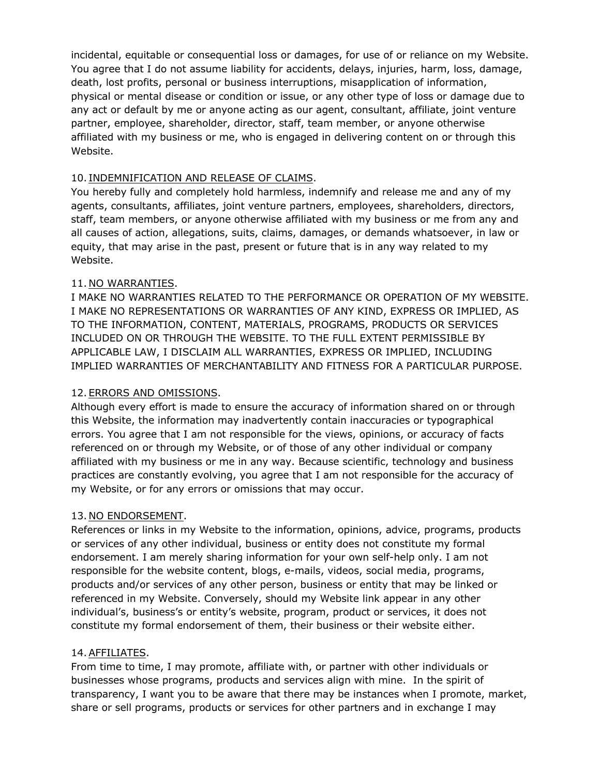incidental, equitable or consequential loss or damages, for use of or reliance on my Website. You agree that I do not assume liability for accidents, delays, injuries, harm, loss, damage, death, lost profits, personal or business interruptions, misapplication of information, physical or mental disease or condition or issue, or any other type of loss or damage due to any act or default by me or anyone acting as our agent, consultant, affiliate, joint venture partner, employee, shareholder, director, staff, team member, or anyone otherwise affiliated with my business or me, who is engaged in delivering content on or through this Website.

#### 10. INDEMNIFICATION AND RELEASE OF CLAIMS.

You hereby fully and completely hold harmless, indemnify and release me and any of my agents, consultants, affiliates, joint venture partners, employees, shareholders, directors, staff, team members, or anyone otherwise affiliated with my business or me from any and all causes of action, allegations, suits, claims, damages, or demands whatsoever, in law or equity, that may arise in the past, present or future that is in any way related to my Website.

### 11. NO WARRANTIES.

I MAKE NO WARRANTIES RELATED TO THE PERFORMANCE OR OPERATION OF MY WEBSITE. I MAKE NO REPRESENTATIONS OR WARRANTIES OF ANY KIND, EXPRESS OR IMPLIED, AS TO THE INFORMATION, CONTENT, MATERIALS, PROGRAMS, PRODUCTS OR SERVICES INCLUDED ON OR THROUGH THE WEBSITE. TO THE FULL EXTENT PERMISSIBLE BY APPLICABLE LAW, I DISCLAIM ALL WARRANTIES, EXPRESS OR IMPLIED, INCLUDING IMPLIED WARRANTIES OF MERCHANTABILITY AND FITNESS FOR A PARTICULAR PURPOSE.

### 12. ERRORS AND OMISSIONS.

Although every effort is made to ensure the accuracy of information shared on or through this Website, the information may inadvertently contain inaccuracies or typographical errors. You agree that I am not responsible for the views, opinions, or accuracy of facts referenced on or through my Website, or of those of any other individual or company affiliated with my business or me in any way. Because scientific, technology and business practices are constantly evolving, you agree that I am not responsible for the accuracy of my Website, or for any errors or omissions that may occur.

#### 13. NO ENDORSEMENT.

References or links in my Website to the information, opinions, advice, programs, products or services of any other individual, business or entity does not constitute my formal endorsement. I am merely sharing information for your own self-help only. I am not responsible for the website content, blogs, e-mails, videos, social media, programs, products and/or services of any other person, business or entity that may be linked or referenced in my Website. Conversely, should my Website link appear in any other individual's, business's or entity's website, program, product or services, it does not constitute my formal endorsement of them, their business or their website either.

#### 14.AFFILIATES.

From time to time, I may promote, affiliate with, or partner with other individuals or businesses whose programs, products and services align with mine. In the spirit of transparency, I want you to be aware that there may be instances when I promote, market, share or sell programs, products or services for other partners and in exchange I may